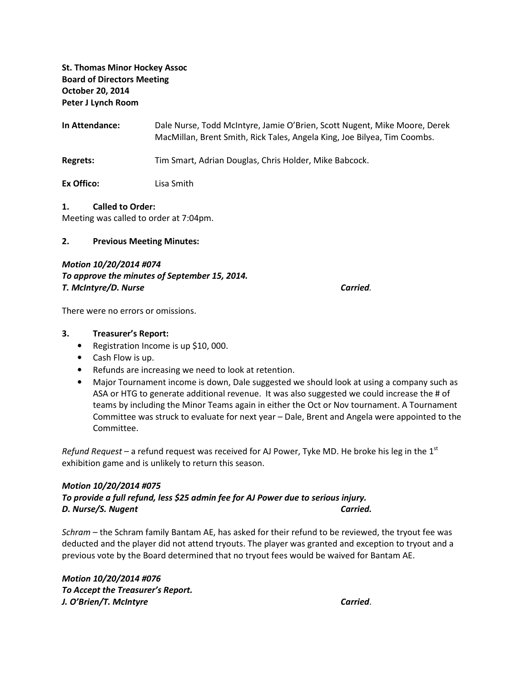# St. Thomas Minor Hockey Assoc Board of Directors Meeting October 20, 2014 Peter J Lynch Room

In Attendance: Dale Nurse, Todd McIntyre, Jamie O'Brien, Scott Nugent, Mike Moore, Derek MacMillan, Brent Smith, Rick Tales, Angela King, Joe Bilyea, Tim Coombs.

Regrets: Tim Smart, Adrian Douglas, Chris Holder, Mike Babcock.

Ex Offico: Lisa Smith

#### 1. Called to Order:

Meeting was called to order at 7:04pm.

#### 2. Previous Meeting Minutes:

## Motion 10/20/2014 #074 To approve the minutes of September 15, 2014. T. McIntyre/D. Nurse Carried.

There were no errors or omissions.

### 3. Treasurer's Report:

- Registration Income is up \$10,000.
- Cash Flow is up.
- Refunds are increasing we need to look at retention.
- Major Tournament income is down, Dale suggested we should look at using a company such as ASA or HTG to generate additional revenue. It was also suggested we could increase the # of teams by including the Minor Teams again in either the Oct or Nov tournament. A Tournament Committee was struck to evaluate for next year – Dale, Brent and Angela were appointed to the Committee.

Refund Request – a refund request was received for AJ Power, Tyke MD. He broke his leg in the  $1<sup>st</sup>$ exhibition game and is unlikely to return this season.

# Motion 10/20/2014 #075 To provide a full refund, less \$25 admin fee for AJ Power due to serious injury. D. Nurse/S. Nugent Carried.

Schram – the Schram family Bantam AE, has asked for their refund to be reviewed, the tryout fee was deducted and the player did not attend tryouts. The player was granted and exception to tryout and a previous vote by the Board determined that no tryout fees would be waived for Bantam AE.

Motion 10/20/2014 #076 To Accept the Treasurer's Report. J. O'Brien/T. McIntyre Carried.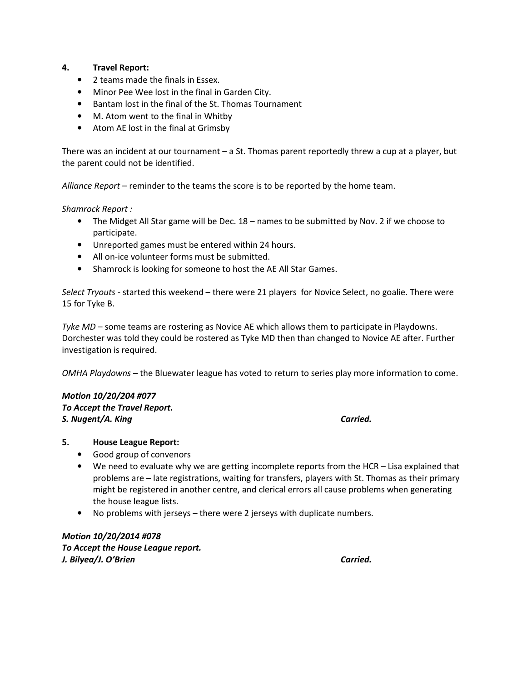## 4. Travel Report:

- 2 teams made the finals in Essex.
- Minor Pee Wee lost in the final in Garden City.
- Bantam lost in the final of the St. Thomas Tournament
- M. Atom went to the final in Whitby
- Atom AE lost in the final at Grimsby

There was an incident at our tournament – a St. Thomas parent reportedly threw a cup at a player, but the parent could not be identified.

Alliance Report – reminder to the teams the score is to be reported by the home team.

Shamrock Report :

- The Midget All Star game will be Dec. 18 names to be submitted by Nov. 2 if we choose to participate.
- Unreported games must be entered within 24 hours.
- All on-ice volunteer forms must be submitted.
- Shamrock is looking for someone to host the AE All Star Games.

Select Tryouts - started this weekend – there were 21 players for Novice Select, no goalie. There were 15 for Tyke B.

Tyke MD – some teams are rostering as Novice AE which allows them to participate in Playdowns. Dorchester was told they could be rostered as Tyke MD then than changed to Novice AE after. Further investigation is required.

OMHA Playdowns – the Bluewater league has voted to return to series play more information to come.

### Motion 10/20/204 #077

To Accept the Travel Report. S. Nugent/A. King Carried.

### 5. House League Report:

- Good group of convenors
- We need to evaluate why we are getting incomplete reports from the HCR Lisa explained that problems are – late registrations, waiting for transfers, players with St. Thomas as their primary might be registered in another centre, and clerical errors all cause problems when generating the house league lists.
- No problems with jerseys there were 2 jerseys with duplicate numbers.

Motion 10/20/2014 #078 To Accept the House League report. J. Bilyea/J. O'Brien Carried.